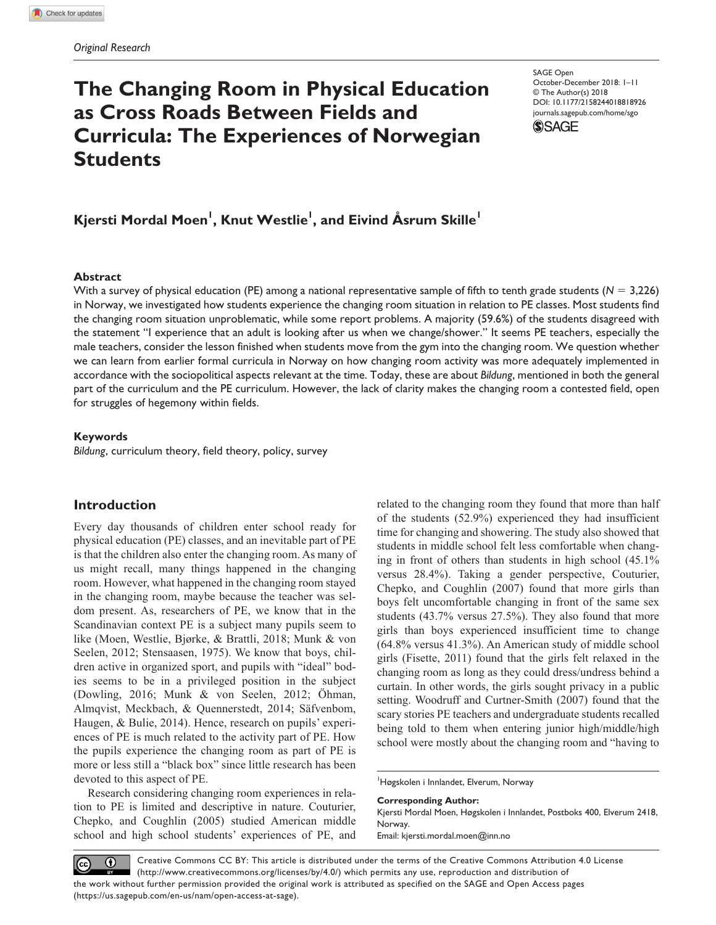# **The Changing Room in Physical Education as Cross Roads Between Fields and Curricula: The Experiences of Norwegian Students**

DOI: 10.1177/2158244018818926 SAGE Open October-December 2018: 1–11 © The Author(s) 2018 [journals.sagepub.com/home/sgo](https://journals.sagepub.com/home/sgo)



# $\mathsf{Kjersti}$  Mordal Moen<sup>l</sup>, <code>Knut Westlie</code><sup>', and Eivind Åsrum Skille $^{\mathsf{I}}$ </sup>

#### **Abstract**

With a survey of physical education (PE) among a national representative sample of fifth to tenth grade students ( $N = 3,226$ ) in Norway, we investigated how students experience the changing room situation in relation to PE classes. Most students find the changing room situation unproblematic, while some report problems. A majority (59.6%) of the students disagreed with the statement "I experience that an adult is looking after us when we change/shower." It seems PE teachers, especially the male teachers, consider the lesson finished when students move from the gym into the changing room. We question whether we can learn from earlier formal curricula in Norway on how changing room activity was more adequately implemented in accordance with the sociopolitical aspects relevant at the time. Today, these are about *Bildung*, mentioned in both the general part of the curriculum and the PE curriculum. However, the lack of clarity makes the changing room a contested field, open for struggles of hegemony within fields.

#### **Keywords**

*Bildung*, curriculum theory, field theory, policy, survey

## **Introduction**

Every day thousands of children enter school ready for physical education (PE) classes, and an inevitable part of PE is that the children also enter the changing room. As many of us might recall, many things happened in the changing room. However, what happened in the changing room stayed in the changing room, maybe because the teacher was seldom present. As, researchers of PE, we know that in the Scandinavian context PE is a subject many pupils seem to like (Moen, Westlie, Bjørke, & Brattli, 2018; Munk & von Seelen, 2012; Stensaasen, 1975). We know that boys, children active in organized sport, and pupils with "ideal" bodies seems to be in a privileged position in the subject (Dowling, 2016; Munk & von Seelen, 2012; Öhman, Almqvist, Meckbach, & Quennerstedt, 2014; Säfvenbom, Haugen, & Bulie, 2014). Hence, research on pupils' experiences of PE is much related to the activity part of PE. How the pupils experience the changing room as part of PE is more or less still a "black box" since little research has been devoted to this aspect of PE.

Research considering changing room experiences in relation to PE is limited and descriptive in nature. Couturier, Chepko, and Coughlin (2005) studied American middle school and high school students' experiences of PE, and

related to the changing room they found that more than half of the students (52.9%) experienced they had insufficient time for changing and showering. The study also showed that students in middle school felt less comfortable when changing in front of others than students in high school (45.1% versus 28.4%). Taking a gender perspective, Couturier, Chepko, and Coughlin (2007) found that more girls than boys felt uncomfortable changing in front of the same sex students (43.7% versus 27.5%). They also found that more girls than boys experienced insufficient time to change (64.8% versus 41.3%). An American study of middle school girls (Fisette, 2011) found that the girls felt relaxed in the changing room as long as they could dress/undress behind a curtain. In other words, the girls sought privacy in a public setting. Woodruff and Curtner-Smith (2007) found that the scary stories PE teachers and undergraduate students recalled being told to them when entering junior high/middle/high school were mostly about the changing room and "having to

1 Høgskolen i Innlandet, Elverum, Norway

#### **Corresponding Author:**

Kjersti Mordal Moen, Høgskolen i Innlandet, Postboks 400, Elverum 2418, Norway.

Email: kjersti.mordal.moen@inn.no

Creative Commons CC BY: This article is distributed under the terms of the Creative Commons Attribution 4.0 License  $\odot$  $\left(\mathrm{cc}\right)$ (http://www.creativecommons.org/licenses/by/4.0/) which permits any use, reproduction and distribution of the work without further permission provided the original work is attributed as specified on the SAGE and Open Access pages (https://us.sagepub.com/en-us/nam/open-access-at-sage).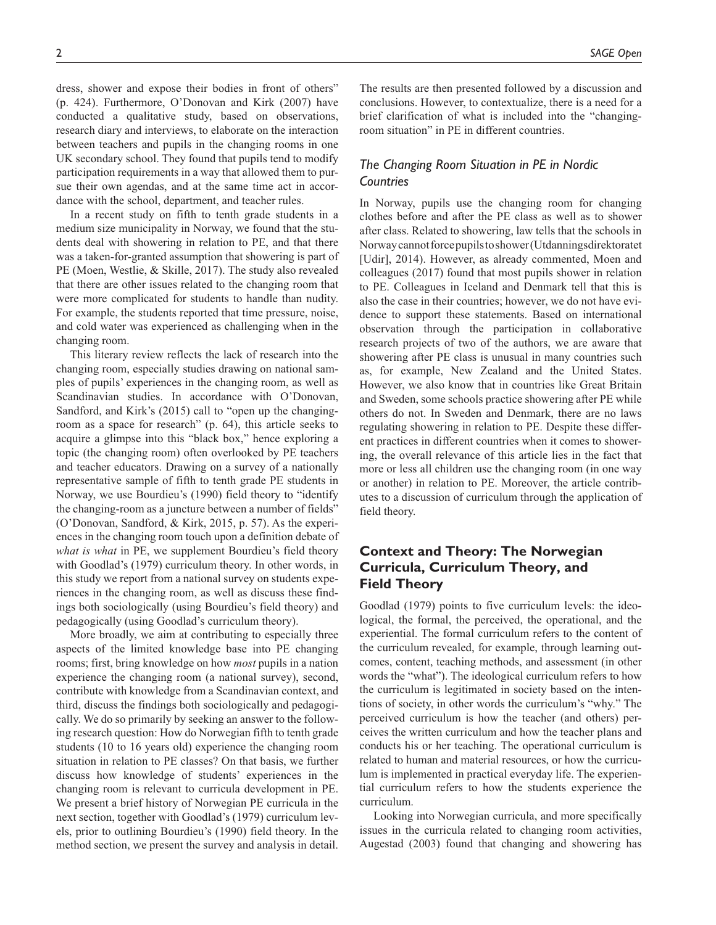dress, shower and expose their bodies in front of others" (p. 424). Furthermore, O'Donovan and Kirk (2007) have conducted a qualitative study, based on observations, research diary and interviews, to elaborate on the interaction between teachers and pupils in the changing rooms in one UK secondary school. They found that pupils tend to modify participation requirements in a way that allowed them to pursue their own agendas, and at the same time act in accordance with the school, department, and teacher rules.

In a recent study on fifth to tenth grade students in a medium size municipality in Norway, we found that the students deal with showering in relation to PE, and that there was a taken-for-granted assumption that showering is part of PE (Moen, Westlie, & Skille, 2017). The study also revealed that there are other issues related to the changing room that were more complicated for students to handle than nudity. For example, the students reported that time pressure, noise, and cold water was experienced as challenging when in the changing room.

This literary review reflects the lack of research into the changing room, especially studies drawing on national samples of pupils' experiences in the changing room, as well as Scandinavian studies. In accordance with O'Donovan, Sandford, and Kirk's (2015) call to "open up the changingroom as a space for research" (p. 64), this article seeks to acquire a glimpse into this "black box," hence exploring a topic (the changing room) often overlooked by PE teachers and teacher educators. Drawing on a survey of a nationally representative sample of fifth to tenth grade PE students in Norway, we use Bourdieu's (1990) field theory to "identify the changing-room as a juncture between a number of fields" (O'Donovan, Sandford, & Kirk, 2015, p. 57). As the experiences in the changing room touch upon a definition debate of *what is what* in PE, we supplement Bourdieu's field theory with Goodlad's (1979) curriculum theory. In other words, in this study we report from a national survey on students experiences in the changing room, as well as discuss these findings both sociologically (using Bourdieu's field theory) and pedagogically (using Goodlad's curriculum theory).

More broadly, we aim at contributing to especially three aspects of the limited knowledge base into PE changing rooms; first, bring knowledge on how *most* pupils in a nation experience the changing room (a national survey), second, contribute with knowledge from a Scandinavian context, and third, discuss the findings both sociologically and pedagogically. We do so primarily by seeking an answer to the following research question: How do Norwegian fifth to tenth grade students (10 to 16 years old) experience the changing room situation in relation to PE classes? On that basis, we further discuss how knowledge of students' experiences in the changing room is relevant to curricula development in PE. We present a brief history of Norwegian PE curricula in the next section, together with Goodlad's (1979) curriculum levels, prior to outlining Bourdieu's (1990) field theory. In the method section, we present the survey and analysis in detail.

The results are then presented followed by a discussion and conclusions. However, to contextualize, there is a need for a brief clarification of what is included into the "changingroom situation" in PE in different countries.

## *The Changing Room Situation in PE in Nordic Countries*

In Norway, pupils use the changing room for changing clothes before and after the PE class as well as to shower after class. Related to showering, law tells that the schools in Norway cannot force pupils to shower (Utdanningsdirektoratet [Udir], 2014). However, as already commented, Moen and colleagues (2017) found that most pupils shower in relation to PE. Colleagues in Iceland and Denmark tell that this is also the case in their countries; however, we do not have evidence to support these statements. Based on international observation through the participation in collaborative research projects of two of the authors, we are aware that showering after PE class is unusual in many countries such as, for example, New Zealand and the United States. However, we also know that in countries like Great Britain and Sweden, some schools practice showering after PE while others do not. In Sweden and Denmark, there are no laws regulating showering in relation to PE. Despite these different practices in different countries when it comes to showering, the overall relevance of this article lies in the fact that more or less all children use the changing room (in one way or another) in relation to PE. Moreover, the article contributes to a discussion of curriculum through the application of field theory.

## **Context and Theory: The Norwegian Curricula, Curriculum Theory, and Field Theory**

Goodlad (1979) points to five curriculum levels: the ideological, the formal, the perceived, the operational, and the experiential. The formal curriculum refers to the content of the curriculum revealed, for example, through learning outcomes, content, teaching methods, and assessment (in other words the "what"). The ideological curriculum refers to how the curriculum is legitimated in society based on the intentions of society, in other words the curriculum's "why." The perceived curriculum is how the teacher (and others) perceives the written curriculum and how the teacher plans and conducts his or her teaching. The operational curriculum is related to human and material resources, or how the curriculum is implemented in practical everyday life. The experiential curriculum refers to how the students experience the curriculum.

Looking into Norwegian curricula, and more specifically issues in the curricula related to changing room activities, Augestad (2003) found that changing and showering has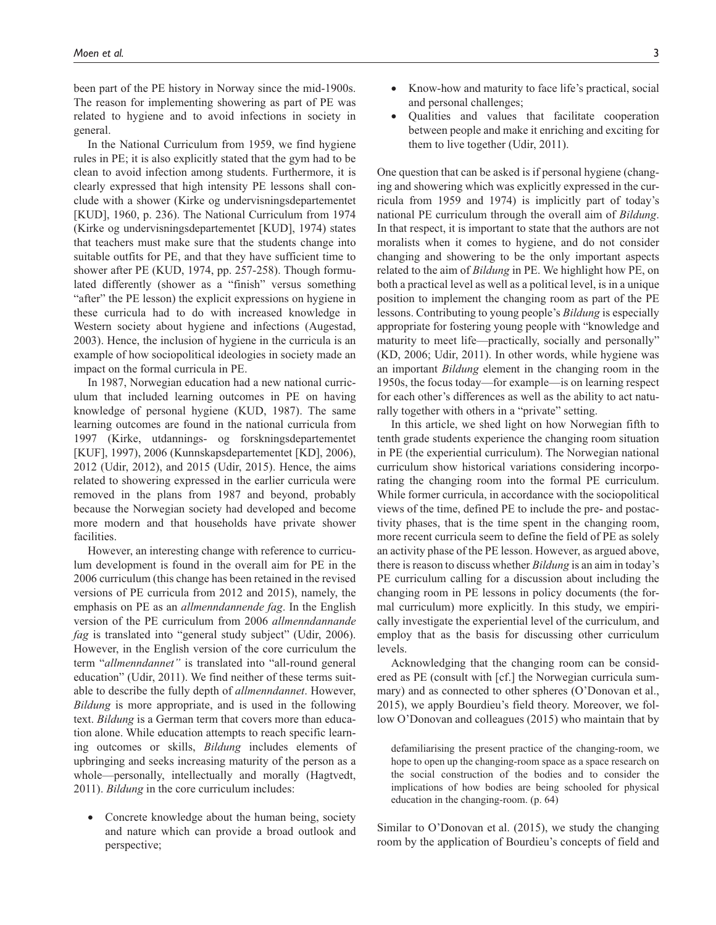been part of the PE history in Norway since the mid-1900s. The reason for implementing showering as part of PE was related to hygiene and to avoid infections in society in general.

In the National Curriculum from 1959, we find hygiene rules in PE; it is also explicitly stated that the gym had to be clean to avoid infection among students. Furthermore, it is clearly expressed that high intensity PE lessons shall conclude with a shower (Kirke og undervisningsdepartementet [KUD], 1960, p. 236). The National Curriculum from 1974 (Kirke og undervisningsdepartementet [KUD], 1974) states that teachers must make sure that the students change into suitable outfits for PE, and that they have sufficient time to shower after PE (KUD, 1974, pp. 257-258). Though formulated differently (shower as a "finish" versus something "after" the PE lesson) the explicit expressions on hygiene in these curricula had to do with increased knowledge in Western society about hygiene and infections (Augestad, 2003). Hence, the inclusion of hygiene in the curricula is an example of how sociopolitical ideologies in society made an impact on the formal curricula in PE.

In 1987, Norwegian education had a new national curriculum that included learning outcomes in PE on having knowledge of personal hygiene (KUD, 1987). The same learning outcomes are found in the national curricula from 1997 (Kirke, utdannings- og forskningsdepartementet [KUF], 1997), 2006 (Kunnskapsdepartementet [KD], 2006), 2012 (Udir, 2012), and 2015 (Udir, 2015). Hence, the aims related to showering expressed in the earlier curricula were removed in the plans from 1987 and beyond, probably because the Norwegian society had developed and become more modern and that households have private shower facilities.

However, an interesting change with reference to curriculum development is found in the overall aim for PE in the 2006 curriculum (this change has been retained in the revised versions of PE curricula from 2012 and 2015), namely, the emphasis on PE as an *allmenndannende fag*. In the English version of the PE curriculum from 2006 *allmenndannande fag* is translated into "general study subject" (Udir, 2006). However, in the English version of the core curriculum the term "*allmenndannet"* is translated into "all-round general education" (Udir, 2011). We find neither of these terms suitable to describe the fully depth of *allmenndannet*. However, *Bildung* is more appropriate, and is used in the following text. *Bildung* is a German term that covers more than education alone. While education attempts to reach specific learning outcomes or skills, *Bildung* includes elements of upbringing and seeks increasing maturity of the person as a whole—personally, intellectually and morally (Hagtvedt, 2011). *Bildung* in the core curriculum includes:

• Concrete knowledge about the human being, society and nature which can provide a broad outlook and perspective;

- Know-how and maturity to face life's practical, social and personal challenges;
- Qualities and values that facilitate cooperation between people and make it enriching and exciting for them to live together (Udir, 2011).

One question that can be asked is if personal hygiene (changing and showering which was explicitly expressed in the curricula from 1959 and 1974) is implicitly part of today's national PE curriculum through the overall aim of *Bildung*. In that respect, it is important to state that the authors are not moralists when it comes to hygiene, and do not consider changing and showering to be the only important aspects related to the aim of *Bildung* in PE. We highlight how PE, on both a practical level as well as a political level, is in a unique position to implement the changing room as part of the PE lessons. Contributing to young people's *Bildung* is especially appropriate for fostering young people with "knowledge and maturity to meet life—practically, socially and personally" (KD, 2006; Udir, 2011). In other words, while hygiene was an important *Bildung* element in the changing room in the 1950s, the focus today—for example—is on learning respect for each other's differences as well as the ability to act naturally together with others in a "private" setting.

In this article, we shed light on how Norwegian fifth to tenth grade students experience the changing room situation in PE (the experiential curriculum). The Norwegian national curriculum show historical variations considering incorporating the changing room into the formal PE curriculum. While former curricula, in accordance with the sociopolitical views of the time, defined PE to include the pre- and postactivity phases, that is the time spent in the changing room, more recent curricula seem to define the field of PE as solely an activity phase of the PE lesson. However, as argued above, there is reason to discuss whether *Bildung* is an aim in today's PE curriculum calling for a discussion about including the changing room in PE lessons in policy documents (the formal curriculum) more explicitly. In this study, we empirically investigate the experiential level of the curriculum, and employ that as the basis for discussing other curriculum levels.

Acknowledging that the changing room can be considered as PE (consult with [cf.] the Norwegian curricula summary) and as connected to other spheres (O'Donovan et al., 2015), we apply Bourdieu's field theory. Moreover, we follow O'Donovan and colleagues (2015) who maintain that by

defamiliarising the present practice of the changing-room, we hope to open up the changing-room space as a space research on the social construction of the bodies and to consider the implications of how bodies are being schooled for physical education in the changing-room. (p. 64)

Similar to O'Donovan et al. (2015), we study the changing room by the application of Bourdieu's concepts of field and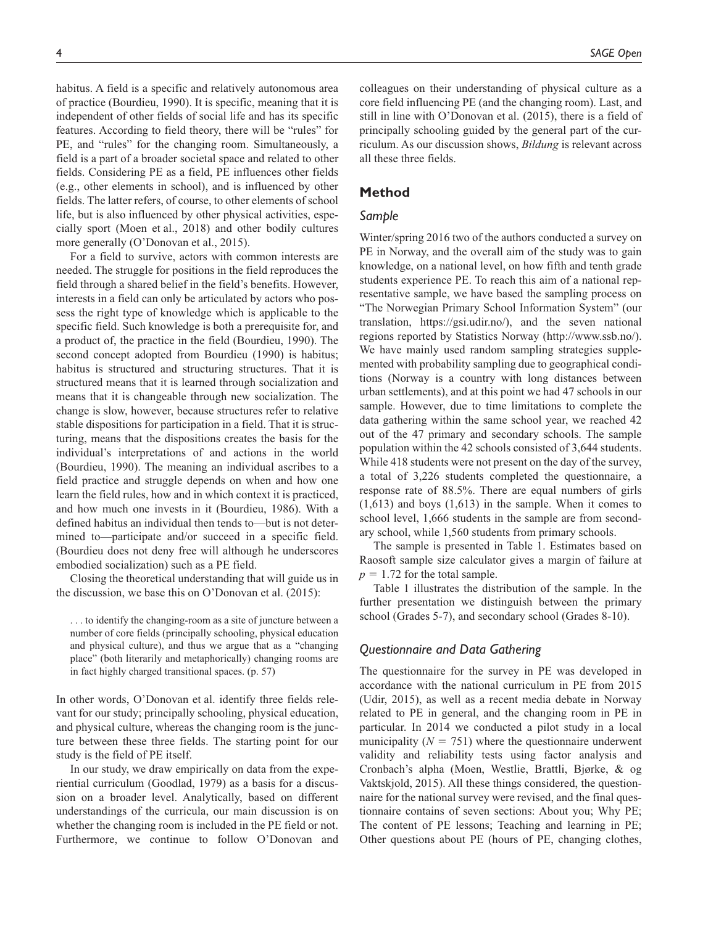habitus. A field is a specific and relatively autonomous area of practice (Bourdieu, 1990). It is specific, meaning that it is independent of other fields of social life and has its specific features. According to field theory, there will be "rules" for PE, and "rules" for the changing room. Simultaneously, a field is a part of a broader societal space and related to other fields. Considering PE as a field, PE influences other fields (e.g., other elements in school), and is influenced by other fields. The latter refers, of course, to other elements of school life, but is also influenced by other physical activities, especially sport (Moen et al., 2018) and other bodily cultures more generally (O'Donovan et al., 2015).

For a field to survive, actors with common interests are needed. The struggle for positions in the field reproduces the field through a shared belief in the field's benefits. However, interests in a field can only be articulated by actors who possess the right type of knowledge which is applicable to the specific field. Such knowledge is both a prerequisite for, and a product of, the practice in the field (Bourdieu, 1990). The second concept adopted from Bourdieu (1990) is habitus; habitus is structured and structuring structures. That it is structured means that it is learned through socialization and means that it is changeable through new socialization. The change is slow, however, because structures refer to relative stable dispositions for participation in a field. That it is structuring, means that the dispositions creates the basis for the individual's interpretations of and actions in the world (Bourdieu, 1990). The meaning an individual ascribes to a field practice and struggle depends on when and how one learn the field rules, how and in which context it is practiced, and how much one invests in it (Bourdieu, 1986). With a defined habitus an individual then tends to—but is not determined to—participate and/or succeed in a specific field. (Bourdieu does not deny free will although he underscores embodied socialization) such as a PE field.

Closing the theoretical understanding that will guide us in the discussion, we base this on O'Donovan et al. (2015):

. . . to identify the changing-room as a site of juncture between a number of core fields (principally schooling, physical education and physical culture), and thus we argue that as a "changing place" (both literarily and metaphorically) changing rooms are in fact highly charged transitional spaces. (p. 57)

In other words, O'Donovan et al. identify three fields relevant for our study; principally schooling, physical education, and physical culture, whereas the changing room is the juncture between these three fields. The starting point for our study is the field of PE itself.

In our study, we draw empirically on data from the experiential curriculum (Goodlad, 1979) as a basis for a discussion on a broader level. Analytically, based on different understandings of the curricula, our main discussion is on whether the changing room is included in the PE field or not. Furthermore, we continue to follow O'Donovan and

colleagues on their understanding of physical culture as a core field influencing PE (and the changing room). Last, and still in line with O'Donovan et al. (2015), there is a field of principally schooling guided by the general part of the curriculum. As our discussion shows, *Bildung* is relevant across all these three fields.

## **Method**

#### *Sample*

Winter/spring 2016 two of the authors conducted a survey on PE in Norway, and the overall aim of the study was to gain knowledge, on a national level, on how fifth and tenth grade students experience PE. To reach this aim of a national representative sample, we have based the sampling process on "The Norwegian Primary School Information System" (our translation, https://gsi.udir.no/), and the seven national regions reported by Statistics Norway (http://www.ssb.no/). We have mainly used random sampling strategies supplemented with probability sampling due to geographical conditions (Norway is a country with long distances between urban settlements), and at this point we had 47 schools in our sample. However, due to time limitations to complete the data gathering within the same school year, we reached 42 out of the 47 primary and secondary schools. The sample population within the 42 schools consisted of 3,644 students. While 418 students were not present on the day of the survey, a total of 3,226 students completed the questionnaire, a response rate of 88.5%. There are equal numbers of girls  $(1,613)$  and boys  $(1,613)$  in the sample. When it comes to school level, 1,666 students in the sample are from secondary school, while 1,560 students from primary schools.

The sample is presented in Table 1. Estimates based on Raosoft sample size calculator gives a margin of failure at  $p = 1.72$  for the total sample.

Table 1 illustrates the distribution of the sample. In the further presentation we distinguish between the primary school (Grades 5-7), and secondary school (Grades 8-10).

## *Questionnaire and Data Gathering*

The questionnaire for the survey in PE was developed in accordance with the national curriculum in PE from 2015 (Udir, 2015), as well as a recent media debate in Norway related to PE in general, and the changing room in PE in particular. In 2014 we conducted a pilot study in a local municipality  $(N = 751)$  where the questionnaire underwent validity and reliability tests using factor analysis and Cronbach's alpha (Moen, Westlie, Brattli, Bjørke, & og Vaktskjold, 2015). All these things considered, the questionnaire for the national survey were revised, and the final questionnaire contains of seven sections: About you; Why PE; The content of PE lessons; Teaching and learning in PE; Other questions about PE (hours of PE, changing clothes,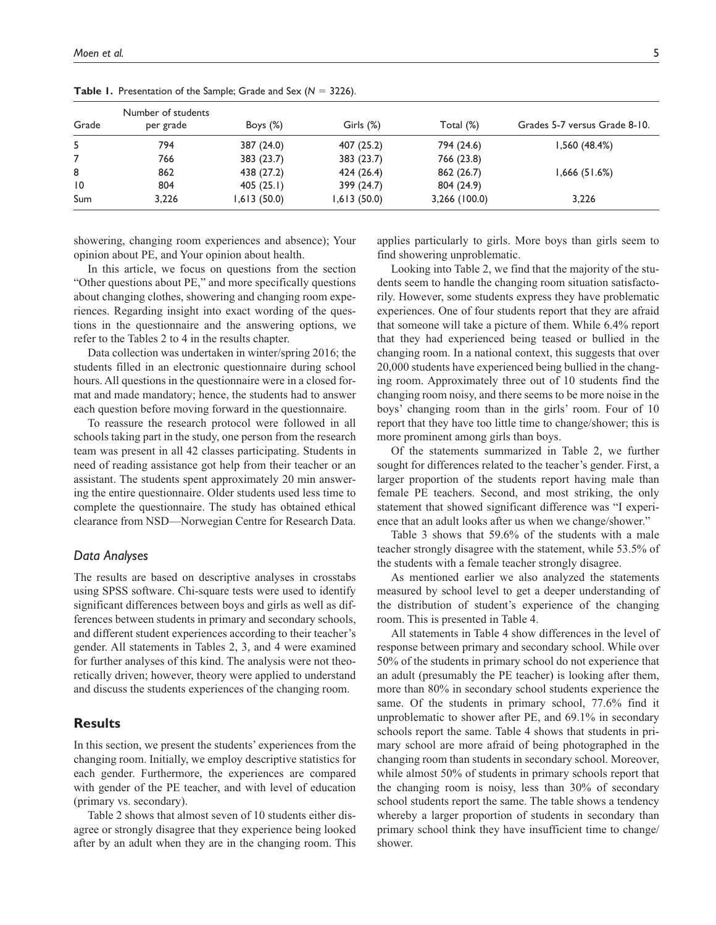| Grade           | Number of students<br>per grade | Boys $(\%)$ | Girls (%)   | Total (%)       | Grades 5-7 versus Grade 8-10. |
|-----------------|---------------------------------|-------------|-------------|-----------------|-------------------------------|
| 5               | 794                             | 387 (24.0)  | 407 (25.2)  | 794 (24.6)      | 1,560(48.4%)                  |
|                 | 766                             | 383 (23.7)  | 383(23.7)   | 766 (23.8)      |                               |
| 8               | 862                             | 438 (27.2)  | 424 (26.4)  | 862 (26.7)      | 1,666(51.6%)                  |
| $\overline{10}$ | 804                             | 405(25.1)   | 399 (24.7)  | 804 (24.9)      |                               |
| Sum             | 3,226                           | 1,613(50.0) | 1,613(50.0) | $3,266$ (100.0) | 3,226                         |

**Table 1.** Presentation of the Sample; Grade and Sex (*N* = 3226).

showering, changing room experiences and absence); Your opinion about PE, and Your opinion about health.

In this article, we focus on questions from the section "Other questions about PE," and more specifically questions about changing clothes, showering and changing room experiences. Regarding insight into exact wording of the questions in the questionnaire and the answering options, we refer to the Tables 2 to 4 in the results chapter.

Data collection was undertaken in winter/spring 2016; the students filled in an electronic questionnaire during school hours. All questions in the questionnaire were in a closed format and made mandatory; hence, the students had to answer each question before moving forward in the questionnaire.

To reassure the research protocol were followed in all schools taking part in the study, one person from the research team was present in all 42 classes participating. Students in need of reading assistance got help from their teacher or an assistant. The students spent approximately 20 min answering the entire questionnaire. Older students used less time to complete the questionnaire. The study has obtained ethical clearance from NSD—Norwegian Centre for Research Data.

#### *Data Analyses*

The results are based on descriptive analyses in crosstabs using SPSS software. Chi-square tests were used to identify significant differences between boys and girls as well as differences between students in primary and secondary schools, and different student experiences according to their teacher's gender. All statements in Tables 2, 3, and 4 were examined for further analyses of this kind. The analysis were not theoretically driven; however, theory were applied to understand and discuss the students experiences of the changing room.

## **Results**

In this section, we present the students' experiences from the changing room. Initially, we employ descriptive statistics for each gender. Furthermore, the experiences are compared with gender of the PE teacher, and with level of education (primary vs. secondary).

Table 2 shows that almost seven of 10 students either disagree or strongly disagree that they experience being looked after by an adult when they are in the changing room. This applies particularly to girls. More boys than girls seem to find showering unproblematic.

Looking into Table 2, we find that the majority of the students seem to handle the changing room situation satisfactorily. However, some students express they have problematic experiences. One of four students report that they are afraid that someone will take a picture of them. While 6.4% report that they had experienced being teased or bullied in the changing room. In a national context, this suggests that over 20,000 students have experienced being bullied in the changing room. Approximately three out of 10 students find the changing room noisy, and there seems to be more noise in the boys' changing room than in the girls' room. Four of 10 report that they have too little time to change/shower; this is more prominent among girls than boys.

Of the statements summarized in Table 2, we further sought for differences related to the teacher's gender. First, a larger proportion of the students report having male than female PE teachers. Second, and most striking, the only statement that showed significant difference was "I experience that an adult looks after us when we change/shower."

Table 3 shows that 59.6% of the students with a male teacher strongly disagree with the statement, while 53.5% of the students with a female teacher strongly disagree.

As mentioned earlier we also analyzed the statements measured by school level to get a deeper understanding of the distribution of student's experience of the changing room. This is presented in Table 4.

All statements in Table 4 show differences in the level of response between primary and secondary school. While over 50% of the students in primary school do not experience that an adult (presumably the PE teacher) is looking after them, more than 80% in secondary school students experience the same. Of the students in primary school, 77.6% find it unproblematic to shower after PE, and 69.1% in secondary schools report the same. Table 4 shows that students in primary school are more afraid of being photographed in the changing room than students in secondary school. Moreover, while almost 50% of students in primary schools report that the changing room is noisy, less than 30% of secondary school students report the same. The table shows a tendency whereby a larger proportion of students in secondary than primary school think they have insufficient time to change/ shower.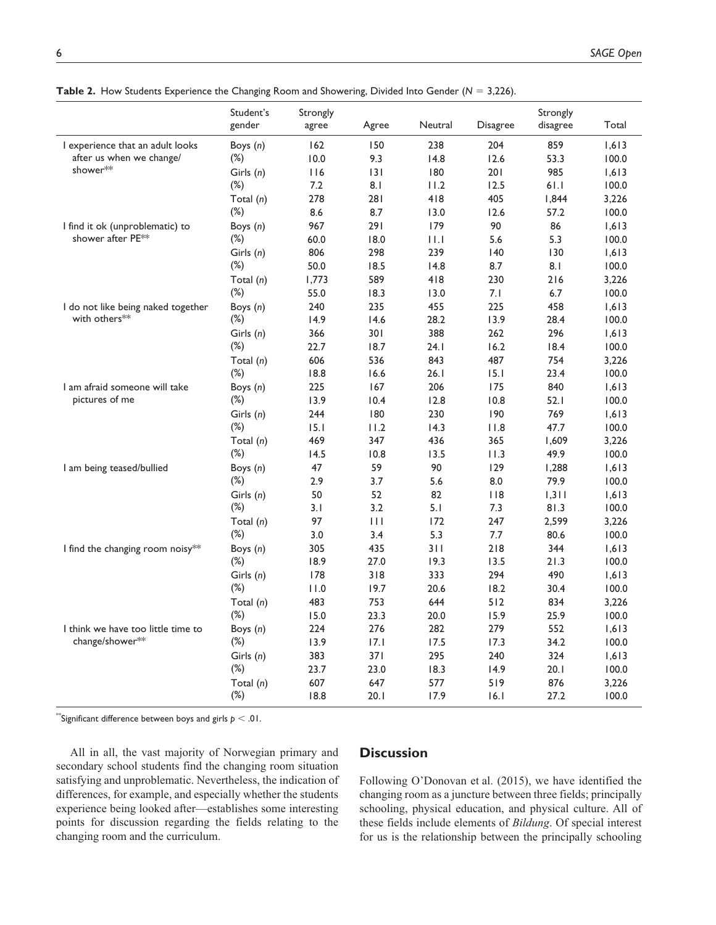|                                                              | Student's<br>gender | Strongly<br>agree | Agree        | Neutral     | <b>Disagree</b> | Strongly<br>disagree | Total          |
|--------------------------------------------------------------|---------------------|-------------------|--------------|-------------|-----------------|----------------------|----------------|
|                                                              |                     | 162               |              | 238         | 204             | 859                  |                |
| I experience that an adult looks<br>after us when we change/ | Boys (n)<br>$(\%)$  | 10.0              | 150<br>9.3   | 14.8        | 12.6            | 53.3                 | 1,613<br>100.0 |
| shower**                                                     |                     | 116               | 3            | 180         | 201             | 985                  | 1,613          |
|                                                              | Girls (n)<br>$(\%)$ | 7.2               | 8.1          | 11.2        | 12.5            | 61.I                 | 100.0          |
|                                                              | Total (n)           | 278               | 281          | 418         | 405             | 1,844                | 3,226          |
|                                                              | $(\%)$              | 8.6               | 8.7          | 13.0        | 12.6            | 57.2                 | 100.0          |
| I find it ok (unproblematic) to                              | Boys (n)            | 967               | 291          | 179         | 90              | 86                   | 1,613          |
| shower after PE**                                            | $(\%)$              | 60.0              | 18.0         | $  \cdot  $ | 5.6             | 5.3                  | 100.0          |
|                                                              | Girls (n)           | 806               | 298          | 239         | 140             | 130                  | 1,613          |
|                                                              | $(\%)$              | 50.0              | 18.5         | 14.8        | 8.7             | 8.1                  | 100.0          |
|                                                              |                     | 1,773             | 589          | 418         | 230             | 216                  | 3,226          |
|                                                              | Total $(n)$<br>(%)  | 55.0              | 18.3         | 13.0        | 7.1             | 6.7                  | 100.0          |
| I do not like being naked together                           |                     | 240               | 235          | 455         | 225             | 458                  | 1,613          |
| with others**                                                | Boys (n)<br>$(\%)$  | 14.9              | 14.6         | 28.2        | 13.9            | 28.4                 | 100.0          |
|                                                              |                     | 366               | 301          | 388         | 262             | 296                  | 1,613          |
|                                                              | Girls (n)<br>$(\%)$ | 22.7              | 18.7         | 24.1        | 16.2            | 18.4                 | 100.0          |
|                                                              | Total (n)           | 606               | 536          | 843         | 487             | 754                  | 3,226          |
|                                                              | $(\%)$              | 18.8              | 16.6         | 26.1        | 15.1            | 23.4                 | 100.0          |
| I am afraid someone will take                                | Boys $(n)$          | 225               | 167          | 206         | 175             | 840                  | 1,613          |
| pictures of me                                               | $(\%)$              | 13.9              | 10.4         | 12.8        | 10.8            | 52.1                 | 100.0          |
|                                                              | Girls (n)           | 244               | 180          | 230         | 190             | 769                  | 1,613          |
|                                                              | $(\%)$              | 15.1              | 11.2         | 14.3        | 11.8            | 47.7                 | 100.0          |
|                                                              | Total $(n)$         | 469               | 347          | 436         | 365             | 1,609                | 3,226          |
|                                                              | $(\%)$              | 14.5              | 10.8         | 13.5        | 11.3            | 49.9                 | 100.0          |
| I am being teased/bullied                                    | Boys (n)            | 47                | 59           | 90          | 129             | 1,288                | 1,613          |
|                                                              | $(\%)$              | 2.9               | 3.7          | 5.6         | 8.0             | 79.9                 | 100.0          |
|                                                              | Girls $(n)$         | 50                | 52           | 82          | $ $ $ $ $ $     | 1,311                | 1,613          |
|                                                              | $(\%)$              | 3.1               | 3.2          | 5.1         | 7.3             | 81.3                 | 100.0          |
|                                                              | Total $(n)$         | 97                | $\mathbf{1}$ | 172         | 247             | 2,599                | 3,226          |
|                                                              | $(\%)$              | 3.0               | 3.4          | 5.3         | 7.7             | 80.6                 | 100.0          |
| I find the changing room noisy**                             | Boys (n)            | 305               | 435          | 311         | 218             | 344                  | 1,613          |
|                                                              | $(\%)$              | 18.9              | 27.0         | 19.3        | 13.5            | 21.3                 | 100.0          |
|                                                              | Girls $(n)$         | 178               | 318          | 333         | 294             | 490                  | 1,613          |
|                                                              | $(\%)$              | 11.0              | 19.7         | 20.6        | 18.2            | 30.4                 | 100.0          |
|                                                              | Total (n)           | 483               | 753          | 644         | 512             | 834                  | 3,226          |
|                                                              | $(\%)$              | 15.0              | 23.3         | 20.0        | 15.9            | 25.9                 | 100.0          |
| I think we have too little time to                           | Boys $(n)$          | 224               | 276          | 282         | 279             | 552                  | 1,613          |
| change/shower**                                              | $(\%)$              | 13.9              | 17.1         | 17.5        | 17.3            | 34.2                 | 100.0          |
|                                                              | Girls $(n)$         | 383               | 37 I         | 295         | 240             | 324                  | 1,613          |
|                                                              | $(\%)$              | 23.7              | 23.0         | 18.3        | 14.9            | 20.1                 | 100.0          |
|                                                              | Total (n)           | 607               | 647          | 577         | 519             | 876                  | 3,226          |
|                                                              | $(\%)$              | 18.8              | 20.1         | 17.9        | 16.1            | 27.2                 | 100.0          |

**Table 2.** How Students Experience the Changing Room and Showering, Divided Into Gender (*N* = 3,226).

 $^*$ Significant difference between boys and girls  $p < .01.$ 

All in all, the vast majority of Norwegian primary and secondary school students find the changing room situation satisfying and unproblematic. Nevertheless, the indication of differences, for example, and especially whether the students experience being looked after—establishes some interesting points for discussion regarding the fields relating to the changing room and the curriculum.

## **Discussion**

Following O'Donovan et al. (2015), we have identified the changing room as a juncture between three fields; principally schooling, physical education, and physical culture. All of these fields include elements of *Bildung*. Of special interest for us is the relationship between the principally schooling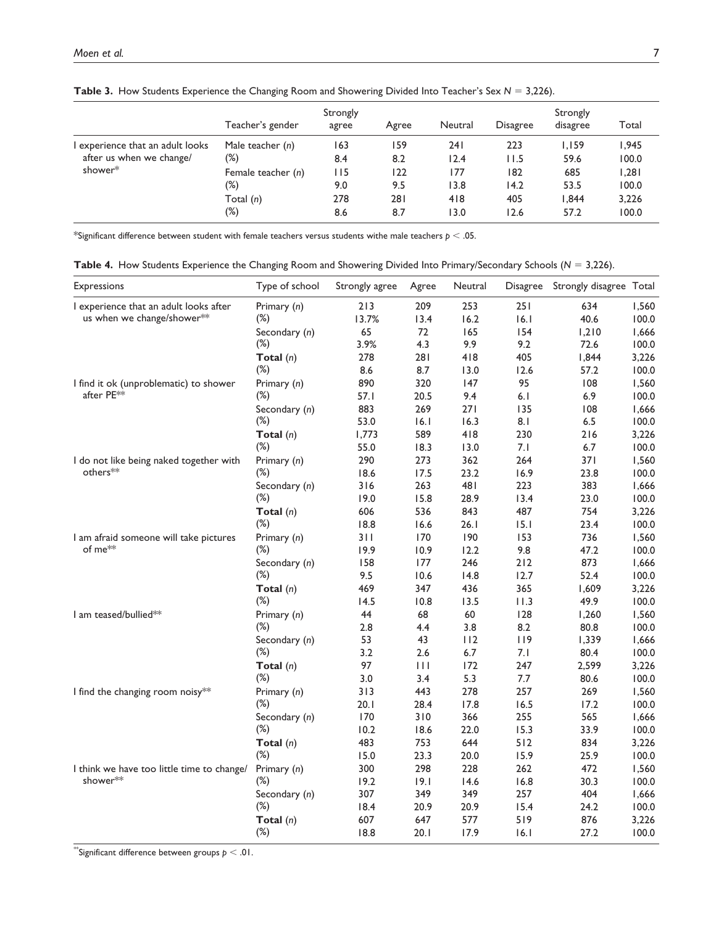|                                | Teacher's gender   | Strongly<br>agree | Agree | Neutral | <b>Disagree</b> | Strongly<br>disagree | Total |
|--------------------------------|--------------------|-------------------|-------|---------|-----------------|----------------------|-------|
| experience that an adult looks | Male teacher $(n)$ | 163               | 159   | 241     | 223             | 1.159                | 1,945 |
| after us when we change/       | (%)                | 8.4               | 8.2   | 12.4    | 11.5            | 59.6                 | 100.0 |
| shower*                        | Female teacher (n) | l I 5             | 122   | 177     | 182             | 685                  | 1,281 |
|                                | (%)                | 9.0               | 9.5   | 13.8    | 14.2            | 53.5                 | 100.0 |
|                                | Total $(n)$        | 278               | 281   | 418     | 405             | 1.844                | 3,226 |
|                                | $(\%)$             | 8.6               | 8.7   | 13.0    | 12.6            | 57.2                 | 100.0 |

**Table 3.** How Students Experience the Changing Room and Showering Divided Into Teacher's Sex *N* = 3,226).

\*Significant difference between student with female teachers versus students withe male teachers *p* < .05.

**Table 4.** How Students Experience the Changing Room and Showering Divided Into Primary/Secondary Schools (*N* = 3,226).

| <b>Expressions</b>                         | Type of school | Strongly agree | Agree        | Neutral | Disagree | Strongly disagree Total |       |
|--------------------------------------------|----------------|----------------|--------------|---------|----------|-------------------------|-------|
| I experience that an adult looks after     | Primary (n)    | 213            | 209          | 253     | 251      | 634                     | 1,560 |
| us when we change/shower**                 | $(\%)$         | 13.7%          | 13.4         | 16.2    | 16.1     | 40.6                    | 100.0 |
|                                            | Secondary (n)  | 65             | 72           | 165     | 154      | 1,210                   | 1,666 |
|                                            | $(\%)$         | 3.9%           | 4.3          | 9.9     | 9.2      | 72.6                    | 100.0 |
|                                            | Total $(n)$    | 278            | 281          | 418     | 405      | 1,844                   | 3,226 |
|                                            | $(\%)$         | 8.6            | 8.7          | 13.0    | 12.6     | 57.2                    | 100.0 |
| I find it ok (unproblematic) to shower     | Primary (n)    | 890            | 320          | 147     | 95       | 108                     | 1,560 |
| after PE <sup>**</sup>                     | $(\%)$         | 57.I           | 20.5         | 9.4     | 6.1      | 6.9                     | 100.0 |
|                                            | Secondary (n)  | 883            | 269          | 271     | 135      | 108                     | 1,666 |
|                                            | $(\%)$         | 53.0           | 16.1         | 16.3    | 8.1      | 6.5                     | 100.0 |
|                                            | Total $(n)$    | 1,773          | 589          | 418     | 230      | 216                     | 3,226 |
|                                            | $(\%)$         | 55.0           | 18.3         | 13.0    | 7.1      | 6.7                     | 100.0 |
| I do not like being naked together with    | Primary (n)    | 290            | 273          | 362     | 264      | 371                     | 1,560 |
| others**                                   | (%)            | 18.6           | 17.5         | 23.2    | 16.9     | 23.8                    | 100.0 |
|                                            | Secondary (n)  | 316            | 263          | 481     | 223      | 383                     | 1,666 |
|                                            | $(\%)$         | 19.0           | 15.8         | 28.9    | 13.4     | 23.0                    | 100.0 |
|                                            | Total $(n)$    | 606            | 536          | 843     | 487      | 754                     | 3,226 |
|                                            | $(\%)$         | 18.8           | 16.6         | 26.1    | 15.1     | 23.4                    | 100.0 |
| I am afraid someone will take pictures     | Primary (n)    | 311            | 170          | 190     | 153      | 736                     | 1,560 |
| of me <sup>**</sup>                        | (%)            | 19.9           | 10.9         | 12.2    | 9.8      | 47.2                    | 100.0 |
|                                            | Secondary (n)  | 158            | 177          | 246     | $212$    | 873                     | 1,666 |
|                                            | $(\%)$         | 9.5            | 10.6         | 14.8    | 12.7     | 52.4                    | 100.0 |
|                                            | Total $(n)$    | 469            | 347          | 436     | 365      | 1,609                   | 3,226 |
|                                            | $(\%)$         | 14.5           | 10.8         | 13.5    | 11.3     | 49.9                    | 100.0 |
| I am teased/bullied**                      | Primary (n)    | 44             | 68           | 60      | 128      | 1,260                   | 1,560 |
|                                            | $(\%)$         | 2.8            | 4.4          | 3.8     | 8.2      | 80.8                    | 100.0 |
|                                            | Secondary (n)  | 53             | 43           | 112     | 119      | 1,339                   | 1,666 |
|                                            | $(\%)$         | 3.2            | 2.6          | $6.7\,$ | 7.1      | 80.4                    | 100.0 |
|                                            | Total $(n)$    | 97             | $\mathbf{1}$ | 172     | 247      | 2,599                   | 3,226 |
|                                            | $(\%)$         | 3.0            | 3.4          | 5.3     | 7.7      | 80.6                    | 100.0 |
| I find the changing room noisy**           | Primary (n)    | 313            | 443          | 278     | 257      | 269                     | 1,560 |
|                                            | $(\%)$         | 20.1           | 28.4         | 17.8    | 16.5     | 17.2                    | 100.0 |
|                                            | Secondary (n)  | 170            | 310          | 366     | 255      | 565                     | 1,666 |
|                                            | $(\%)$         | 10.2           | 18.6         | 22.0    | 15.3     | 33.9                    | 100.0 |
|                                            | Total $(n)$    | 483            | 753          | 644     | 512      | 834                     | 3,226 |
|                                            | (%)            | 15.0           | 23.3         | 20.0    | 15.9     | 25.9                    | 100.0 |
| I think we have too little time to change/ | Primary (n)    | 300            | 298          | 228     | 262      | 472                     | 1,560 |
| shower**                                   | $(\%)$         | 19.2           | 19.1         | 14.6    | 16.8     | 30.3                    | 100.0 |
|                                            | Secondary (n)  | 307            | 349          | 349     | 257      | 404                     | 1,666 |
|                                            | $(\%)$         | 18.4           | 20.9         | 20.9    | 15.4     | 24.2                    | 100.0 |
|                                            | Total $(n)$    | 607            | 647          | 577     | 519      | 876                     | 3,226 |
|                                            | $(\%)$         | 18.8           | 20.1         | 17.9    | 16.1     | 27.2                    | 100.0 |

 $^*$ Significant difference between groups  $p < .01$ .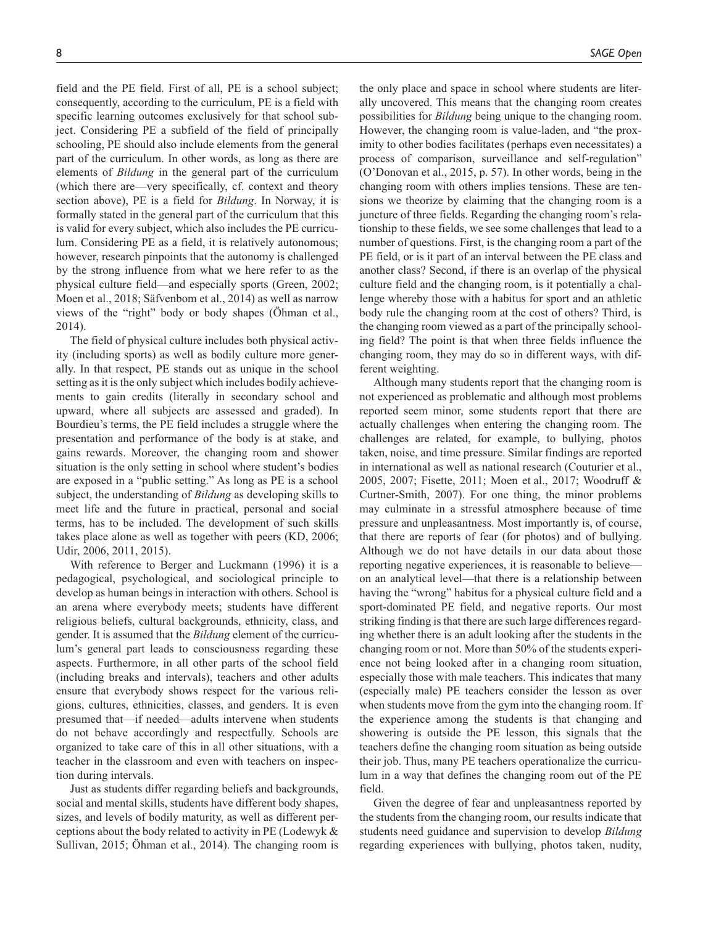field and the PE field. First of all, PE is a school subject; consequently, according to the curriculum, PE is a field with specific learning outcomes exclusively for that school sub-

ject. Considering PE a subfield of the field of principally schooling, PE should also include elements from the general part of the curriculum. In other words, as long as there are elements of *Bildung* in the general part of the curriculum (which there are—very specifically, cf. context and theory section above), PE is a field for *Bildung*. In Norway, it is formally stated in the general part of the curriculum that this is valid for every subject, which also includes the PE curriculum. Considering PE as a field, it is relatively autonomous; however, research pinpoints that the autonomy is challenged by the strong influence from what we here refer to as the physical culture field—and especially sports (Green, 2002; Moen et al., 2018; Säfvenbom et al., 2014) as well as narrow views of the "right" body or body shapes (Öhman et al., 2014).

The field of physical culture includes both physical activity (including sports) as well as bodily culture more generally. In that respect, PE stands out as unique in the school setting as it is the only subject which includes bodily achievements to gain credits (literally in secondary school and upward, where all subjects are assessed and graded). In Bourdieu's terms, the PE field includes a struggle where the presentation and performance of the body is at stake, and gains rewards. Moreover, the changing room and shower situation is the only setting in school where student's bodies are exposed in a "public setting." As long as PE is a school subject, the understanding of *Bildung* as developing skills to meet life and the future in practical, personal and social terms, has to be included. The development of such skills takes place alone as well as together with peers (KD, 2006; Udir, 2006, 2011, 2015).

With reference to Berger and Luckmann (1996) it is a pedagogical, psychological, and sociological principle to develop as human beings in interaction with others. School is an arena where everybody meets; students have different religious beliefs, cultural backgrounds, ethnicity, class, and gender. It is assumed that the *Bildung* element of the curriculum's general part leads to consciousness regarding these aspects. Furthermore, in all other parts of the school field (including breaks and intervals), teachers and other adults ensure that everybody shows respect for the various religions, cultures, ethnicities, classes, and genders. It is even presumed that—if needed—adults intervene when students do not behave accordingly and respectfully. Schools are organized to take care of this in all other situations, with a teacher in the classroom and even with teachers on inspection during intervals.

Just as students differ regarding beliefs and backgrounds, social and mental skills, students have different body shapes, sizes, and levels of bodily maturity, as well as different perceptions about the body related to activity in PE (Lodewyk & Sullivan, 2015; Öhman et al., 2014). The changing room is

the only place and space in school where students are literally uncovered. This means that the changing room creates possibilities for *Bildung* being unique to the changing room. However, the changing room is value-laden, and "the proximity to other bodies facilitates (perhaps even necessitates) a process of comparison, surveillance and self-regulation" (O'Donovan et al., 2015, p. 57). In other words, being in the changing room with others implies tensions. These are tensions we theorize by claiming that the changing room is a juncture of three fields. Regarding the changing room's relationship to these fields, we see some challenges that lead to a number of questions. First, is the changing room a part of the PE field, or is it part of an interval between the PE class and another class? Second, if there is an overlap of the physical culture field and the changing room, is it potentially a challenge whereby those with a habitus for sport and an athletic body rule the changing room at the cost of others? Third, is the changing room viewed as a part of the principally schooling field? The point is that when three fields influence the changing room, they may do so in different ways, with different weighting.

Although many students report that the changing room is not experienced as problematic and although most problems reported seem minor, some students report that there are actually challenges when entering the changing room. The challenges are related, for example, to bullying, photos taken, noise, and time pressure. Similar findings are reported in international as well as national research (Couturier et al., 2005, 2007; Fisette, 2011; Moen et al., 2017; Woodruff & Curtner-Smith, 2007). For one thing, the minor problems may culminate in a stressful atmosphere because of time pressure and unpleasantness. Most importantly is, of course, that there are reports of fear (for photos) and of bullying. Although we do not have details in our data about those reporting negative experiences, it is reasonable to believe on an analytical level—that there is a relationship between having the "wrong" habitus for a physical culture field and a sport-dominated PE field, and negative reports. Our most striking finding is that there are such large differences regarding whether there is an adult looking after the students in the changing room or not. More than 50% of the students experience not being looked after in a changing room situation, especially those with male teachers. This indicates that many (especially male) PE teachers consider the lesson as over when students move from the gym into the changing room. If the experience among the students is that changing and showering is outside the PE lesson, this signals that the teachers define the changing room situation as being outside their job. Thus, many PE teachers operationalize the curriculum in a way that defines the changing room out of the PE field.

Given the degree of fear and unpleasantness reported by the students from the changing room, our results indicate that students need guidance and supervision to develop *Bildung* regarding experiences with bullying, photos taken, nudity,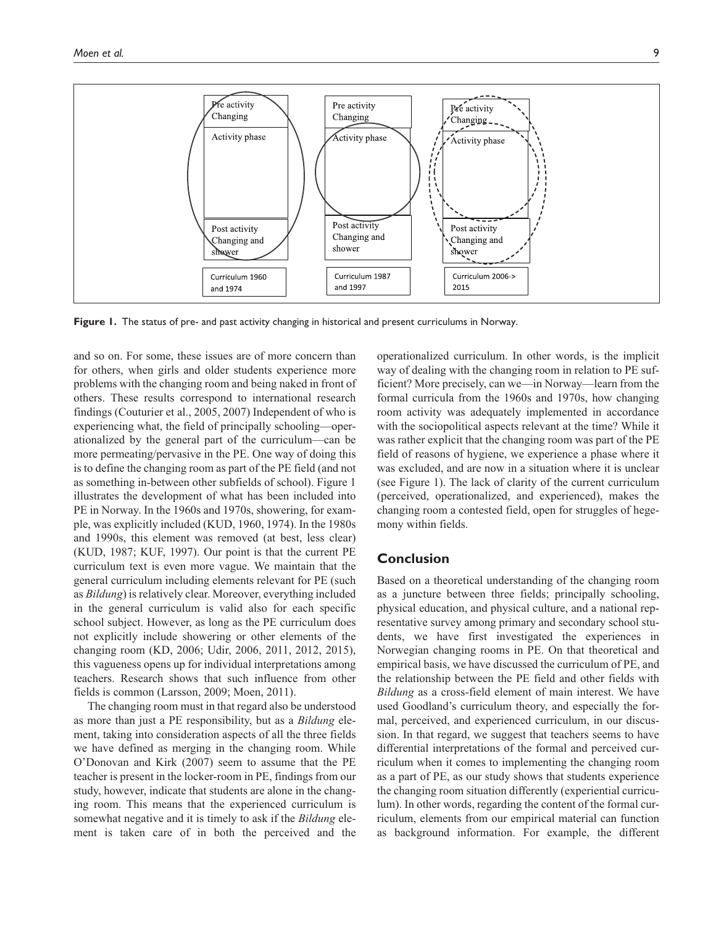

**Figure 1.** The status of pre- and past activity changing in historical and present curriculums in Norway.

and so on. For some, these issues are of more concern than for others, when girls and older students experience more problems with the changing room and being naked in front of others. These results correspond to international research findings (Couturier et al., 2005, 2007) Independent of who is experiencing what, the field of principally schooling—operationalized by the general part of the curriculum—can be more permeating/pervasive in the PE. One way of doing this is to define the changing room as part of the PE field (and not as something in-between other subfields of school). Figure 1 illustrates the development of what has been included into PE in Norway. In the 1960s and 1970s, showering, for example, was explicitly included (KUD, 1960, 1974). In the 1980s and 1990s, this element was removed (at best, less clear) (KUD, 1987; KUF, 1997). Our point is that the current PE curriculum text is even more vague. We maintain that the general curriculum including elements relevant for PE (such as *Bildung*) is relatively clear. Moreover, everything included in the general curriculum is valid also for each specific school subject. However, as long as the PE curriculum does not explicitly include showering or other elements of the changing room (KD, 2006; Udir, 2006, 2011, 2012, 2015), this vagueness opens up for individual interpretations among teachers. Research shows that such influence from other fields is common (Larsson, 2009; Moen, 2011).

The changing room must in that regard also be understood as more than just a PE responsibility, but as a *Bildung* element, taking into consideration aspects of all the three fields we have defined as merging in the changing room. While O'Donovan and Kirk (2007) seem to assume that the PE teacher is present in the locker-room in PE, findings from our study, however, indicate that students are alone in the changing room. This means that the experienced curriculum is somewhat negative and it is timely to ask if the *Bildung* element is taken care of in both the perceived and the

operationalized curriculum. In other words, is the implicit way of dealing with the changing room in relation to PE sufficient? More precisely, can we—in Norway—learn from the formal curricula from the 1960s and 1970s, how changing room activity was adequately implemented in accordance with the sociopolitical aspects relevant at the time? While it was rather explicit that the changing room was part of the PE field of reasons of hygiene, we experience a phase where it was excluded, and are now in a situation where it is unclear (see Figure 1). The lack of clarity of the current curriculum (perceived, operationalized, and experienced), makes the changing room a contested field, open for struggles of hegemony within fields.

## **Conclusion**

Based on a theoretical understanding of the changing room as a juncture between three fields; principally schooling, physical education, and physical culture, and a national representative survey among primary and secondary school students, we have first investigated the experiences in Norwegian changing rooms in PE. On that theoretical and empirical basis, we have discussed the curriculum of PE, and the relationship between the PE field and other fields with *Bildung* as a cross-field element of main interest. We have used Goodland's curriculum theory, and especially the formal, perceived, and experienced curriculum, in our discussion. In that regard, we suggest that teachers seems to have differential interpretations of the formal and perceived curriculum when it comes to implementing the changing room as a part of PE, as our study shows that students experience the changing room situation differently (experiential curriculum). In other words, regarding the content of the formal curriculum, elements from our empirical material can function as background information. For example, the different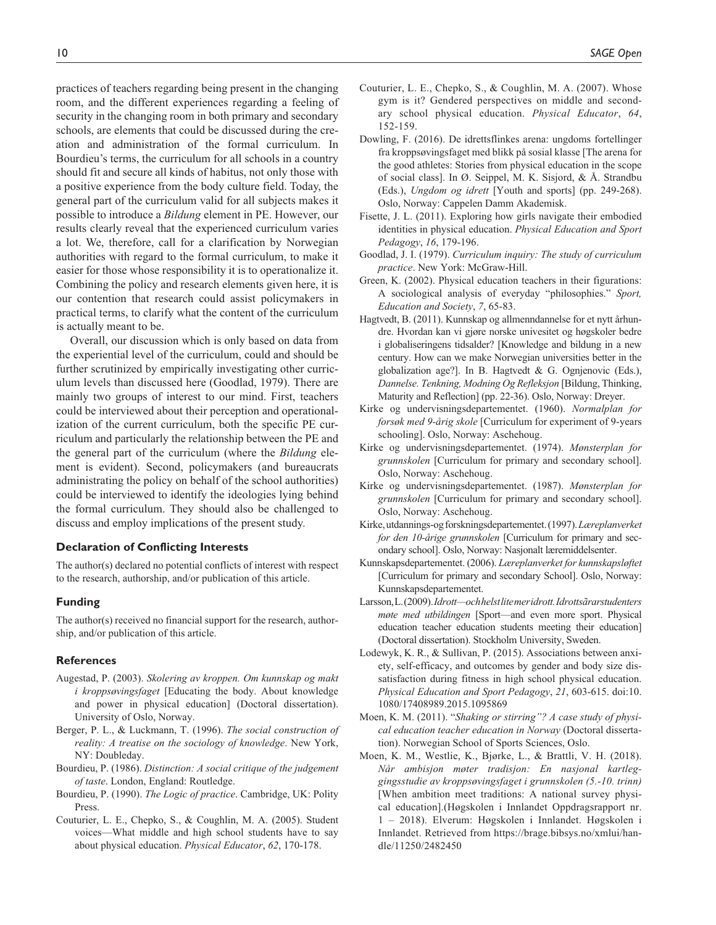practices of teachers regarding being present in the changing room, and the different experiences regarding a feeling of security in the changing room in both primary and secondary schools, are elements that could be discussed during the creation and administration of the formal curriculum. In Bourdieu's terms, the curriculum for all schools in a country should fit and secure all kinds of habitus, not only those with a positive experience from the body culture field. Today, the general part of the curriculum valid for all subjects makes it possible to introduce a *Bildung* element in PE. However, our results clearly reveal that the experienced curriculum varies a lot. We, therefore, call for a clarification by Norwegian authorities with regard to the formal curriculum, to make it easier for those whose responsibility it is to operationalize it. Combining the policy and research elements given here, it is our contention that research could assist policymakers in practical terms, to clarify what the content of the curriculum is actually meant to be.

Overall, our discussion which is only based on data from the experiential level of the curriculum, could and should be further scrutinized by empirically investigating other curriculum levels than discussed here (Goodlad, 1979). There are mainly two groups of interest to our mind. First, teachers could be interviewed about their perception and operationalization of the current curriculum, both the specific PE curriculum and particularly the relationship between the PE and the general part of the curriculum (where the *Bildung* element is evident). Second, policymakers (and bureaucrats administrating the policy on behalf of the school authorities) could be interviewed to identify the ideologies lying behind the formal curriculum. They should also be challenged to discuss and employ implications of the present study.

#### **Declaration of Conflicting Interests**

The author(s) declared no potential conflicts of interest with respect to the research, authorship, and/or publication of this article.

#### **Funding**

The author(s) received no financial support for the research, authorship, and/or publication of this article.

#### **References**

- Augestad, P. (2003). *Skolering av kroppen. Om kunnskap og makt i kroppsøvingsfaget* [Educating the body. About knowledge and power in physical education] (Doctoral dissertation). University of Oslo, Norway.
- Berger, P. L., & Luckmann, T. (1996). *The social construction of reality: A treatise on the sociology of knowledge*. New York, NY: Doubleday.
- Bourdieu, P. (1986). *Distinction: A social critique of the judgement of taste*. London, England: Routledge.
- Bourdieu, P. (1990). *The Logic of practice*. Cambridge, UK: Polity Press.
- Couturier, L. E., Chepko, S., & Coughlin, M. A. (2005). Student voices—What middle and high school students have to say about physical education. *Physical Educator*, *62*, 170-178.
- Couturier, L. E., Chepko, S., & Coughlin, M. A. (2007). Whose gym is it? Gendered perspectives on middle and secondary school physical education. *Physical Educator*, *64*, 152-159.
- Dowling, F. (2016). De idrettsflinkes arena: ungdoms fortellinger fra kroppsøvingsfaget med blikk på sosial klasse [The arena for the good athletes: Stories from physical education in the scope of social class]. In Ø. Seippel, M. K. Sisjord, & Å. Strandbu (Eds.), *Ungdom og idrett* [Youth and sports] (pp. 249-268). Oslo, Norway: Cappelen Damm Akademisk.
- Fisette, J. L. (2011). Exploring how girls navigate their embodied identities in physical education. *Physical Education and Sport Pedagogy*, *16*, 179-196.
- Goodlad, J. I. (1979). *Curriculum inquiry: The study of curriculum practice*. New York: McGraw-Hill.
- Green, K. (2002). Physical education teachers in their figurations: A sociological analysis of everyday "philosophies." *Sport, Education and Society*, *7*, 65-83.
- Hagtvedt, B. (2011). Kunnskap og allmenndannelse for et nytt århundre. Hvordan kan vi gjøre norske univesitet og høgskoler bedre i globaliseringens tidsalder? [Knowledge and bildung in a new century. How can we make Norwegian universities better in the globalization age?]. In B. Hagtvedt & G. Ognjenovic (Eds.), *Dannelse. Tenkning, Modning Og Refleksjon* [Bildung, Thinking, Maturity and Reflection] (pp. 22-36). Oslo, Norway: Dreyer.
- Kirke og undervisningsdepartementet. (1960). *Normalplan for forsøk med 9-årig skole* [Curriculum for experiment of 9-years schooling]. Oslo, Norway: Aschehoug.
- Kirke og undervisningsdepartementet. (1974). *Mønsterplan for grunnskolen* [Curriculum for primary and secondary school]. Oslo, Norway: Aschehoug.
- Kirke og undervisningsdepartementet. (1987). *Mønsterplan for grunnskolen* [Curriculum for primary and secondary school]. Oslo, Norway: Aschehoug.
- Kirke, utdannings-og forskningsdepartementet. (1997). *Læreplanverket for den 10-årige grunnskolen* [Curriculum for primary and secondary school]. Oslo, Norway: Nasjonalt læremiddelsenter.
- Kunnskapsdepartementet. (2006). *Læreplanverket for kunnskapsløftet* [Curriculum for primary and secondary School]. Oslo, Norway: Kunnskapsdepartementet.
- Larsson, L. (2009). *Idrott—och helst lite mer idrott. Idrottsãrarstudenters møte med utbildingen* [Sport—and even more sport. Physical education teacher education students meeting their education] (Doctoral dissertation). Stockholm University, Sweden.
- Lodewyk, K. R., & Sullivan, P. (2015). Associations between anxiety, self-efficacy, and outcomes by gender and body size dissatisfaction during fitness in high school physical education. *Physical Education and Sport Pedagogy*, *21*, 603-615. doi:10. 1080/17408989.2015.1095869
- Moen, K. M. (2011). "*Shaking or stirring"? A case study of physical education teacher education in Norway* (Doctoral dissertation). Norwegian School of Sports Sciences, Oslo.
- Moen, K. M., Westlie, K., Bjørke, L., & Brattli, V. H. (2018). *Når ambisjon møter tradisjon: En nasjonal kartleggingsstudie av kroppsøvingsfaget i grunnskolen (5.-10. trinn)* [When ambition meet traditions: A national survey physical education].(Høgskolen i Innlandet Oppdragsrapport nr. 1 – 2018). Elverum: Høgskolen i Innlandet. Høgskolen i Innlandet. Retrieved from https://brage.bibsys.no/xmlui/handle/11250/2482450